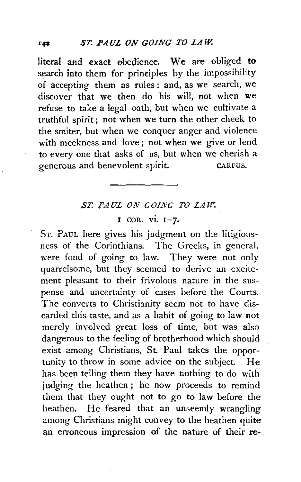literal and exact obedience. We are obliged to search into them for principles by the impossibility of accepting them as rules : and, as we search, we discover that we then do his will, not when we refuse to take a legal oath, but when we cultivate a truthful spirit; not when we turn the other cheek to the smiter, but when we conquer anger and violence with meekness and love; not when we give or lend to every one that asks of us, but when we cherish a generous and benevolent spirit. CARrus.

## *,ST. PAUL ON GOING TO LAW.*

## I COR. vi. 1-7.

ST. PAUL here gives his judgment on the litigiousness of the Corinthians. The Greeks, in general, were fond of going to law. They were not only quarrelsome, but they seemed to derive an excitement pleasant to their frivolous nature in the suspense and uncertainty of cases before the Courts. The converts to Christianity seem not to have discarded this taste, and as a habit of going to law not merely involved great loss of time, but was also dangerous to the feeling of brotherhood which should exist among Christians, St. Paul takes the opportunity to throw in some advice on the subject. He has beep telling them they have nothing to do with judging the heathen; he now proceeds to remind them that they ought not to go to law before the heathen. He feared that an unseemly wrangling among Christians might convey to the heathen quite an erroneous impression of the nature of their re-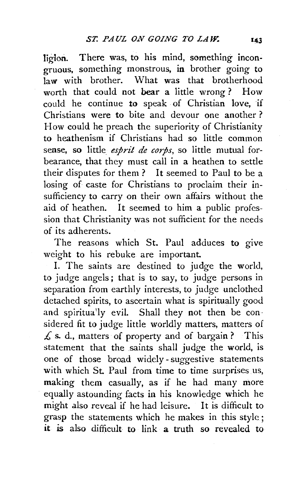ligion. There was, to his mind, something incongruous, something monstrous, in brother going to law with brother. What was that brotherhood worth that could not bear a little wrong ? How could he continue to speak of Christian love, if Christians were to bite and devour one another ? How could he preach the superiority of Christianity to heathenism if Christians had so little common sense, so little *esprit de corps,* so little mutual forbearance, that they must call in a heathen to settle their disputes for them ? It seemed to Paul to be a losing of caste for Christians to proclaim their insufficiency to carry on their own affairs without the aid of heathen. It seemed to him a public profession that Christianity was not sufficient for the needs of its adherents.

The reasons which St. Paul adduces to give weight to his rebuke are important

I. The saints are destined to judge the world, to judge angels; that is to say, to judge persons in separation from earthly interests, to judge unclothed detached spirits, to ascertain what is spiritually good and spiritua'ly evil. Shall they not then be considered fit to judge little worldly matters, matters of *£* s. d., matters of property and of bargain ? This statement that the saints shall judge the world, is one of those broad widely- suggestive statements with which St. Paul from time to time surprises us, making them casually, as if he had many more equally astounding facts in his knowledge which he might also reveal if he had leisure. It is difficult to grasp the statements which he makes in this style; it is also difficult to link a truth so revealed to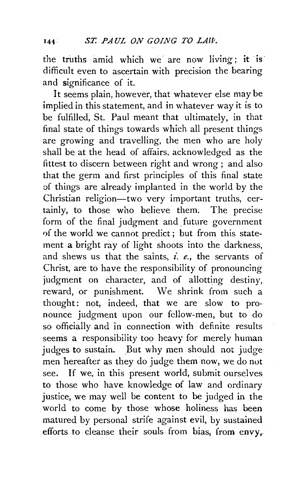the truths amid which we are now living; it is difficult even to ascertain with precision the bearing and significance of it.

It seems plain, however, that whatever else may be implied in this statement, and in whatever way it is to be fulfilled, St. Paul meant that ultimately, in that final state of things towards which all present things are growing and travelling, the men who are holy shall be at the head of affairs, acknowledged as the fittest to discern between right and wrong; and also that the germ and first principles of this final state of things are already implanted in the world by the Christian religion-two very important truths, certainly, to those who believe them. The precise form of the final judgment and future government of the world we cannot predict; but from this statement a bright ray of light shoots into the darkness, and shews us that the saints, *i. e.,* the servants of Christ, are to have the responsibility of pronouncing judgment on character, and of allotting destiny, reward, or punishment. We shrink from such a thought: not, indeed, that we are slow to pronounce judgment upon our fellow-men, but to do so officially and in connection with definite results seems a responsibility too heavy for merely human judges to sustain. But why men should not judge men hereafter as they do judge them now, we do not see. If we, in this present world, submit ourselves to those who have knowledge of law and ordinary justice, we may well be content to be judged in the world to come by those whose holiness has been matured by personal strife against evil, by sustained efforts to cleanse their souls. from bias, from envy,.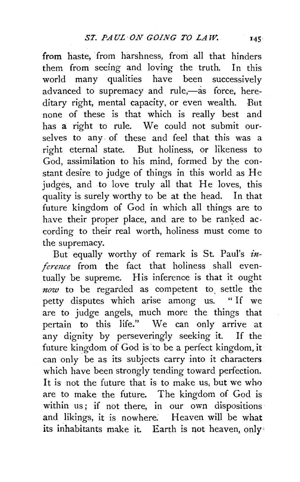from haste, from harshness, from all that hinders them from seeing and loving the truth. In this world many qualities have been successively advanced to supremacy and rule,-as force, hereditary right, mental capacity, or even wealth. But none of these is that which is really best and has a right to rule. We could not submit ourselves to any. of these and feel that this was a right eternal state. But holiness, or likeness to God, assimilation to his mind, formed by the constant desire to judge of things in this world as He judges, and to love truly all that He loves, this quality is surely worthy to be at the head. In that future kingdom of God in which all things are to have their proper place, and are to be ranked ac. cording to their real worth, holiness must come to the supremacy.

But equally worthy of remark is St. Paul's *inference* from the fact that holiness shall eventually be supreme. His inference is that it ought *now* to be regarded as competent to. settle the petty disputes which arise among us. " If we are to judge angels, much more the things that pertain to this life." We can only arrive at any dignity by perseveringly seeking it. If the future kingdom of God is 'to be a perfect kingdom, it can only be as its subjects carry into it characters which have been strongly tending toward perfection. It is not the future that is to make us, but we who are to make the future. The kingdom of God is within us; if not there, in our own dispositions and likings, it is nowhere: Heaven will be what its inhabitants make it. Earth is not heaven, only'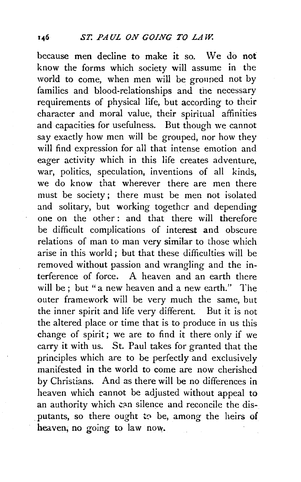because men decline to make it so. We do nof know the forms which society will assume in the world to come, when men will be grouped not by families and blood-relationships and the necessary requirements of physical life, but according to their character and moral value, their spiritual affinities and capacities for usefulness. But though we cannot say exactly how men will be grouped, nor how they will find expression for all that intense emotion and eager activity which in this life creates adventure, war, politics, speculation, inventions of all kinds, we do know that wherever there are men there must be society; there must be men not isolated and solitary, but working together and depending one on the other : and that there will therefore be difficult complications of interest and obscure relations of man to man very similar to those which arise in this world ; but that these difficulties will be removed without passion and wrangling and the interference of force. A heaven and an earth there will be; but "a new heaven and a new earth." The outer framework will be very much the same, but the inner spirit and life very different. But it is not the altered place or time that is to produce in us this change of spirit; we are to find it there only if we carry it with us. St. Paul takes for granted that the principles which are to be perfectly and exclusively manifested in the world to come are now cherished by Christians. And as there will be no differences in heaven which cannot be adjusted without appeal to an authority which can silence and reconcile the disputants, so there ought to be, among the heirs of heaven, no going to law now.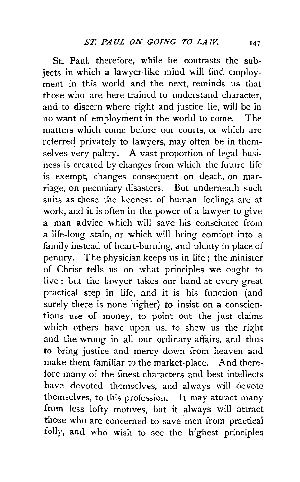St. Paul, therefore, while he contrasts the subjects in which a lawyer-like mind will find employment in this world and the next, reminds us that those who are here trained to understand character and to discern where right and justice lie, will be in no want of employment in the world to come. The matters which come before our courts, or which are referred privately to lawyers, may often be in themselves very paltry. A vast proportion of legal business is created by changes from which the future life is exempt, changes consequent on death, on marriage, on pecuniary disasters. But underneath such suits as these the keenest of human feelings are at work, and it is often in the power of a lawyer to give a man advice which will save his conscience from a life-long stain, or which will bring comfort into a family instead of heart-burning, and plenty in place of penury. The physician keeps us in life ; the minister of Christ tells us on what principles we ought to live: but the lawyer takes our hand at every great practical step in life, and it is his function (and surely there is none higher) to insist on a conscientious use of money, to point out the just claims which others have upon us, to shew us the right and the wrong in all our ordinary affairs, and thus to bring justice and mercy down from heaven' and make them familiar to the market-place. And therefore many of the finest characters and best intellects have devoted themselves, and always will devote themselves, to this profession. It may attract many from less lofty motives, but it always will attract those who are concerned to save men from practical folly, and who wish to see the highest principles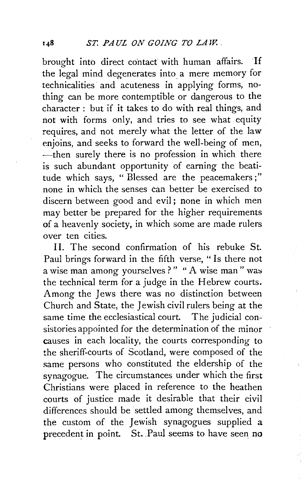brought into direct contact with human affairs. If the legal mind degenerates into a mere memory for technicalities and acuteness in applying forms, nothing can be more contemptible or dangerous to the character: but if it takes *to* do with real things, and not with forms only, and tries *to* see what equity requires, and not merely what the letter of the law enjoins, and seeks *to* forward the well-being of men, -then surely there is no profession in which there is such abundant opportunity of earning the beatitude which says, " Blessed are the peacemakers ; " none in which the senses tan better be exercised *to*  discern between good and evil ; none in which men may better be prepared for the higher requirements of a heavenly society, in which some are made rulers over ten cities.

II. The second confirmation of his rebuke St. Paul brings forward in the fifth verse, " Is there not a wise man among yourselves ? " " A wise man" was the technical term for a judge in the Hebrew courts. Among the Jews there was no distinction between Church and State, the Jewish civil rulers being at the same time the ecclesiastical court. The judicial consistories appointed for the determination of the minor causes in each locality, the courts corresponding to the sheriff-courts of Scotland, were composed of the same persons who constituted the eldership of the synagogue. The circumstances under which the first Christians were placed in reference to the heathen courts of justice made it desirable that their civil differences should be settled among themselves, and the custom of the Jewish synagogues supplied a precedent in point. St. Paul seems to have seen no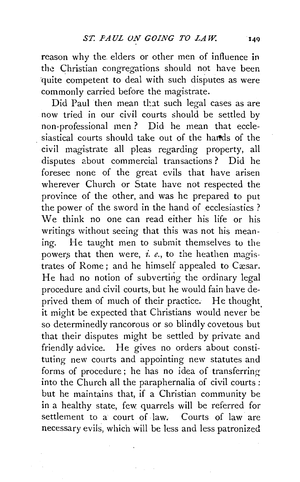reason why the. elders or other men of influence in the Christian congregations should not have been quite competent to deal with such disputes as were commonly carried before the magistrate.

Did Paul then mean that such legal cases as are now tried in our civil courts should be settled by non-professional men ? Did he mean that ecclesiastical courts should take out of the hards of the civil magistrate all pleas regarding property, all disputes about commercial transactions ? Did he foresee none of the great evils that have arisen wherever Church or State have not respected the province of the other, and was he prepared to put the power of the sword in the hand of ecclesiastics ? We think no one can read either his life or his writings without seeing that this was not his meaning. He taught men to submit themselves to the powers that then were, *i. e.*, to the heathen magistrates of Rome; and he himself appealed to Cæsar. He had no notion of subverting the ordinary legal procedure and civil courts, but he would fain have deprived them of much of their practice. He thought it might be expected that Christians would never be' so determinedly rancorous or so blindly covetous but that their disputes might be settled by private and friendly advice. He gives no orders about constituting new courts and appointing new statutes and forms of procedure ; he has no idea of transferring into the Church all the paraphernalia of civil courts : but he maintains that, if a Christian community be in a healthy state, few quarrels will be referred for settlement to a court of law. Courts of law are necessary evils, which will be less and less patronized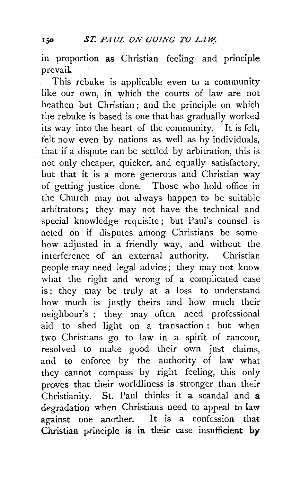in proportion as Christian feeling and principle prevail.

This rebuke is applicable even to a community like our own, in which the courts of law are not heathen but Christian; and the principle on which the rebuke is based is one that has gradually worked its way into the heart of the community. It is felt, felt now even by nations as well as by individuals, that if a dispute can be settled by arbitration, this is not only cheaper, quicker, and equally- satisfactory, but that it is a more generous and Christian way of getting justice done. Those who hold office in the Church may not always happen to be suitable arbitrators; they may not have the technical and special knowledge requisite; but Paul's counsel is acted on if disputes among Christians be somehow adjusted in a friendly way, and without the interference of an external authority. Christian people may need legal advice; they may not know what the right and wrong of a complicated case is; they may be truly at a loss to understand how much is justly theirs and how much their neighbour's ; they may often need professional aid to shed light on a transaction : but when two Christians go to law in a spirit of rancour, resolved to make good their own just claims, and to enforce by the authority of law what they cannot compass by right feeling, this only proves that their worldliness is stronger than their Christianity. St. Paul thinks it a scandal and a degradation when Christians need to appeal to law against one another. It is a confession that Christian principle is in their case insufficient by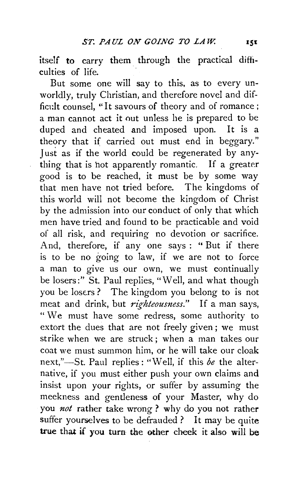itself to carry them through the practical difficulties of life.

But some one will say to this, as to every unworldly, truly Christian, and therefore novel and difficult counsel. "It savours of theory and of romance; a man cannot act it out unless he is prepared to be duped and cheated and imposed upon. It is a theory that if carried out must end in beggary." Just as if the world could be regenerated by anything that is hot apparently romantic. If a greater good is to be reached, it must be by some way that men have not tried before. The kingdoms of this world will not become the kingdom of Christ by the admission into our conduct of only that which men have tried and found to be practicable and void of all risk, and requiring no devotion or sacrifice. And, therefore, if any one says : " But if there is to be no going to law, if we are not to force a man to give us our own, we must continually be losers:" St. Paul replies, "Well, and what though you be losers? The kingdom you belong to is not meat and drink, but *righteousness."* If a man says, " We must have some redress, some authority to extort the dues that are not freely given ; we must strike when we are struck; when a man takes our coat we must summon him, or he will take our cloak next,"-St. Paul replies : "Well, if this *be* the alternative, if you must either push your own claims and insist upon your rights, or suffer by assuming the meekness and gentleness of your Master, why do you *not* rather take wrong ? why do you not rather suffer yourselves to be defrauded? It may be quite true that if you turn the other cheek it also will be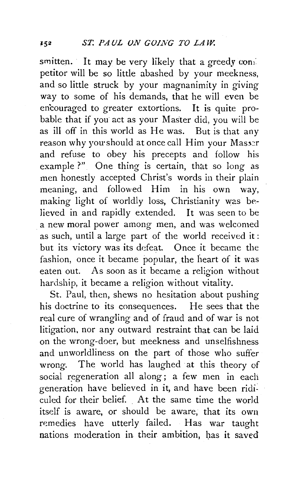smitten. It may be very likely that a greedy conpetitor will be so little abashed by your meekness, and so little struck by your magnanimity in giving way to some of his demands, that he will even be encouraged to greater extortions. It is quite probable that if you act as your Master did, you will be as ill off in this world as He was. But is that any reason why you should at once call Him your Masser and refuse to obey his precepts and follow his example ?" One thing is certain, that so long as men honestly accepted Christ's words in their plain meaning, and followed Him in his own way, making light of worldly loss, Christianity was believed in and rapidly extended. It was seen to be a new moral power among men, and was welcomed as such, until a large part of the world received it: but its victory was its defeat. Once it became the fashion, once it became popular, the heart of it was eaten out. As soon as it became a religion without hardship, it became a religion without vitality.

St. Paul, then, shews no hesitation about pushing his doctrine to its consequences. He sees that the real cure of wrangling and of fraud and of war is not litigation, nor any outward restraint that can be laid on the wrong-doer, but meekness and unselfishness and unworldliness on the part of those who suffer wrong. The world has laughed at this theory of social regeneration all along; a few men in each generation have believed in it, and have been ridiculed for their belief. At the same time the world itself is aware, or should be aware, that its own remedies have utterly failed. Has war taught nations moderation in their ambition, has it saved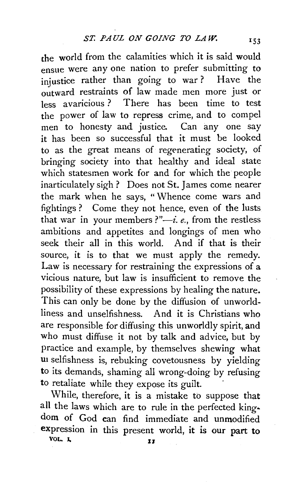che world from the calamities which it is said would ensue were any one nation to prefer submitting to injustice rather than going to war? Have the outward restraints of law made men more just or less avaricious ? There has been time to test the power of law to repress crime, and to compel men to honesty and justice. Can any one say it has been so successful that it must be looked to as the great means of regenerating society, of bringing society into that healthy and ideal state which statesmen work for and for which the people inarticulately sigh? Does not St. James come nearer the mark when he says, "Whence come wars and fightings ? Come they not hence, even of the lusts that war in your members?" $-i$ . *e.*, from the restless ambitions and appetites and longings of men who seek their all in this world. And if that is their source, it is to that we must apply the remedy. Law is necessary for restraining the expressions of a vicious nature, but law is insufficient to remove the possibility of these expressions by healing the nature. This can only be done by the diffusion of unworldliness and unselfishness. And it is Christians who are responsible for diffusing this unworldly spirit, and who must diffuse it not by talk and advice, but by practice and example, by themselves shewing what un selfishness is, rebuking covetousness by yielding to its demands, shaming all wrong-doing by refusing to retaliate while they expose its guilt.

While, therefore, it is a mistake to suppose that all the laws which are to rule in the perfected king· dom of God can find immediate and unmodified expression in this present world, it is our part to VOL.  $\mathbf{L}$   $\mathbf{I}$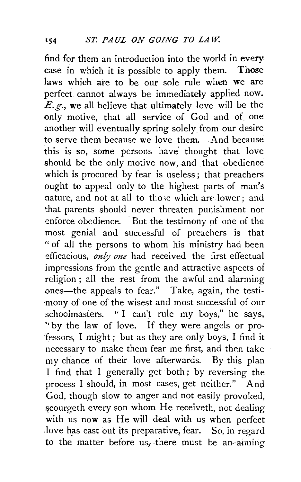find for them an introduction into the world in every case in which it is possible to apply them. Those laws which are to be our sole rule when we are perfect cannot always be immediately applied now. *E.g.*, we all believe that ultimately love will be the only motive, that all service of God and of one another will eventually spring solely from our desire to serve them because we love them. And because this is so, some persons have thought that love should be the only motive now, and that obedience which is procured by fear is useless; that preachers ought to appeal only to the highest parts of man's nature, and not at all to those which are lower; and that parents should never threaten punishment nor enforce obedience. But the testimony of one of the most genial and successful of preachers is that " of all the persons to whom his ministry had been efficacious, *only one* had received the first effectual impressions from the gentle and attractive aspects of religion ; all the rest from the awful and alarming ones-the appeals to fear." Take, again, the testimony of one of the wisest and most successful of our schoolmasters. "I can't rule my boys," he says, ''by the law of love. If they were angels or pro- -fessors, I might ; but as they are only boys, I find it necessary to make them fear me first, and then take my chance of their love afterwards. By this plan I find that I generally get both; by reversing the process I should, in most cases, get neither." And God, though slow to anger and not easily provoked, scourgeth every son whom He receiveth, not dealing with us now as He will deal with us when perfect love has cast out its preparative, fear. So, in regard to the matter before us, there must be an-aiming